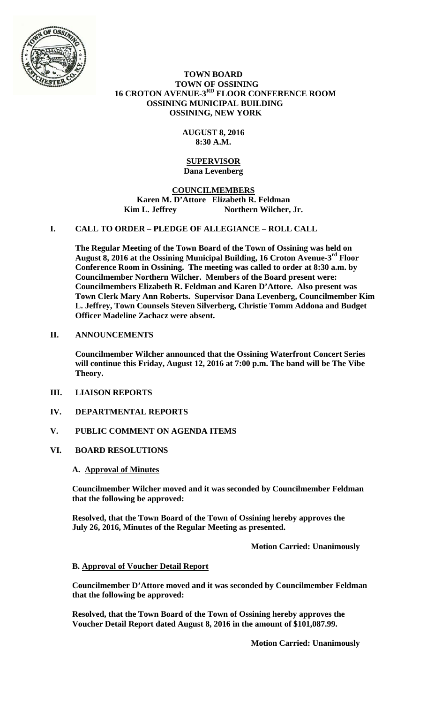

#### **TOWN BOARD TOWN OF OSSINING 16 CROTON AVENUE-3RD FLOOR CONFERENCE ROOM OSSINING MUNICIPAL BUILDING OSSINING, NEW YORK**

# **AUGUST 8, 2016 8:30 A.M.**

#### **SUPERVISOR Dana Levenberg**

## **COUNCILMEMBERS Karen M. D'Attore Elizabeth R. Feldman Kim L. Jeffrey Northern Wilcher, Jr.**

# **I. CALL TO ORDER – PLEDGE OF ALLEGIANCE – ROLL CALL**

**The Regular Meeting of the Town Board of the Town of Ossining was held on August 8, 2016 at the Ossining Municipal Building, 16 Croton Avenue-3rd Floor Conference Room in Ossining. The meeting was called to order at 8:30 a.m. by Councilmember Northern Wilcher. Members of the Board present were: Councilmembers Elizabeth R. Feldman and Karen D'Attore. Also present was Town Clerk Mary Ann Roberts. Supervisor Dana Levenberg, Councilmember Kim L. Jeffrey, Town Counsels Steven Silverberg, Christie Tomm Addona and Budget Officer Madeline Zachacz were absent.** 

## **II. ANNOUNCEMENTS**

**Councilmember Wilcher announced that the Ossining Waterfront Concert Series will continue this Friday, August 12, 2016 at 7:00 p.m. The band will be The Vibe Theory.** 

- **III. LIAISON REPORTS**
- **IV. DEPARTMENTAL REPORTS**
- **V. PUBLIC COMMENT ON AGENDA ITEMS**
- **VI. BOARD RESOLUTIONS**

## **A. Approval of Minutes**

**Councilmember Wilcher moved and it was seconded by Councilmember Feldman that the following be approved:** 

**Resolved, that the Town Board of the Town of Ossining hereby approves the July 26, 2016, Minutes of the Regular Meeting as presented.** 

 **Motion Carried: Unanimously** 

## **B. Approval of Voucher Detail Report**

**Councilmember D'Attore moved and it was seconded by Councilmember Feldman that the following be approved:** 

**Resolved, that the Town Board of the Town of Ossining hereby approves the Voucher Detail Report dated August 8, 2016 in the amount of \$101,087.99.** 

 **Motion Carried: Unanimously**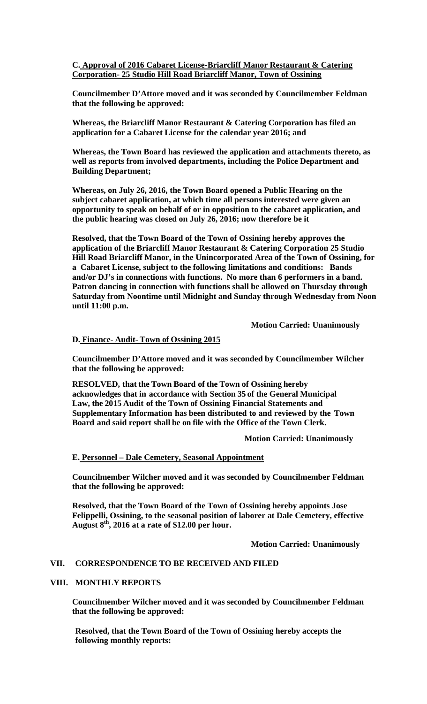**C. Approval of 2016 Cabaret License-Briarcliff Manor Restaurant & Catering Corporation- 25 Studio Hill Road Briarcliff Manor, Town of Ossining** 

**Councilmember D'Attore moved and it was seconded by Councilmember Feldman that the following be approved:** 

**Whereas, the Briarcliff Manor Restaurant & Catering Corporation has filed an application for a Cabaret License for the calendar year 2016; and** 

**Whereas, the Town Board has reviewed the application and attachments thereto, as well as reports from involved departments, including the Police Department and Building Department;** 

**Whereas, on July 26, 2016, the Town Board opened a Public Hearing on the subject cabaret application, at which time all persons interested were given an opportunity to speak on behalf of or in opposition to the cabaret application, and the public hearing was closed on July 26, 2016; now therefore be it** 

**Resolved, that the Town Board of the Town of Ossining hereby approves the application of the Briarcliff Manor Restaurant & Catering Corporation 25 Studio Hill Road Briarcliff Manor, in the Unincorporated Area of the Town of Ossining, for a Cabaret License, subject to the following limitations and conditions: Bands and/or DJ's in connections with functions. No more than 6 performers in a band. Patron dancing in connection with functions shall be allowed on Thursday through Saturday from Noontime until Midnight and Sunday through Wednesday from Noon until 11:00 p.m.** 

 **Motion Carried: Unanimously** 

#### **D. Finance- Audit- Town of Ossining 2015**

**Councilmember D'Attore moved and it was seconded by Councilmember Wilcher that the following be approved:** 

**RESOLVED, that the Town Board of the Town of Ossining hereby acknowledges that in accordance with Section 35 of the General Municipal Law, the 2015 Audit of the Town of Ossining Financial Statements and Supplementary Information has been distributed to and reviewed by the Town Board and said report shall be on file with the Office of the Town Clerk.** 

 **Motion Carried: Unanimously** 

**E. Personnel – Dale Cemetery, Seasonal Appointment**

**Councilmember Wilcher moved and it was seconded by Councilmember Feldman that the following be approved:** 

**Resolved, that the Town Board of the Town of Ossining hereby appoints Jose Felippelli, Ossining, to the seasonal position of laborer at Dale Cemetery, effective August 8th, 2016 at a rate of \$12.00 per hour.** 

 **Motion Carried: Unanimously** 

## **VII. CORRESPONDENCE TO BE RECEIVED AND FILED**

#### **VIII. MONTHLY REPORTS**

**Councilmember Wilcher moved and it was seconded by Councilmember Feldman that the following be approved:** 

**Resolved, that the Town Board of the Town of Ossining hereby accepts the following monthly reports:**